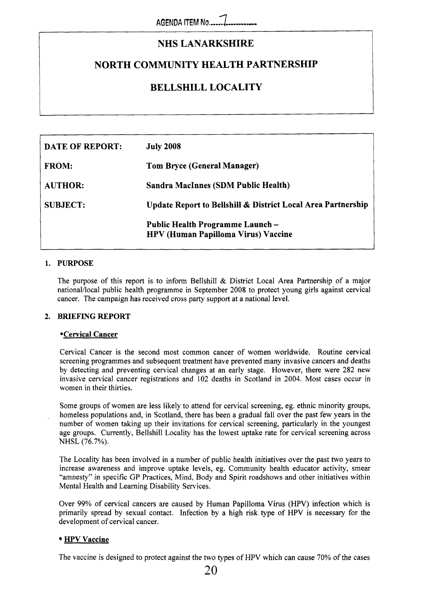# **NHS LANARKSHIRE**

## **NORTH COMMUNITY HEALTH PARTNERSHIP**

# **BELLSHILL LOCALITY**

| <b>DATE OF REPORT:</b> | <b>July 2008</b>                                                              |  |  |
|------------------------|-------------------------------------------------------------------------------|--|--|
| <b>FROM:</b>           | <b>Tom Bryce (General Manager)</b>                                            |  |  |
| <b>AUTHOR:</b>         | Sandra MacInnes (SDM Public Health)                                           |  |  |
| <b>SUBJECT:</b>        | <b>Update Report to Bellshill &amp; District Local Area Partnership</b>       |  |  |
|                        | Public Health Programme Launch-<br><b>HPV (Human Papilloma Virus) Vaccine</b> |  |  |

### **1. PURPOSE**

,

The purpose of this report is to inform Bellshill & District Local Area Partnership of a major national/local public health programme in September 2008 to protect young girls against cervical cancer. The campaign has received cross party support at a national level.

### **2. BRIEFING REPORT**

#### **Cervical Cancer**

Cervical Cancer is the second most common cancer of women worldwide. Routine cervical screening programmes and subsequent treatment have prevented many invasive cancers and deaths by detecting and preventing cervical changes at an early stage. However, there were **282** new invasive cervical cancer registrations and 102 deaths in Scotland in 2004. Most cases occur in women in their thirties.

Some groups of women are less likely to attend for cervical screening, eg. ethnic minority groups, homeless populations and, in Scotland, there has been a gradual fall over the past few years in the number of women taking up their invitations for cervical screening, particularly in the youngest age groups. Currently, Bellshill Locality has the lowest uptake rate for cervical screening across NHSL *(76.7%).* 

The Locality has been involved in a number of public health initiatives over the past two years to increase awareness and improve uptake levels, eg. Community health educator activity, smear "amnesty" in specific GP Practices, Mind, Body and Spirit roadshows and other initiatives within Mental Health and Learning Disability Services.

Over 99% of cervical cancers are caused by Human Papilloma Virus (HPV) infection which is primarily spread by sexual contact. Infection by a high risk type of HPV is necessary for the development of cervical cancer.

### **HPV Vaccine**

The vaccine is designed to protect against the two types of HPV which can cause **70%** of the cases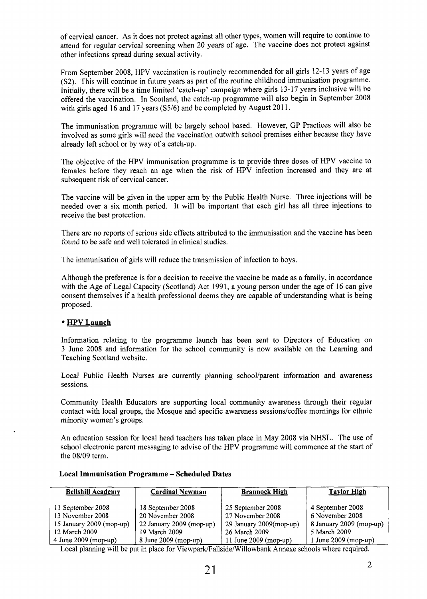of cervical cancer. As it does not protect against all other types, women will require to continue to attend for regular cervical screening when 20 years of age. The vaccine does not protect against other infections spread during sexual activity.

From September 2008, HPV vaccination is routinely recommended for all girls 12-13 years of age (S2). This will continue in future years as part of the routine childhood immunisation programme. Initially, there will be a time limited 'catch-up' campaign where girls 13-17 years inclusive will be offered the vaccination. In Scotland, the catch-up programme will also begin in September 2008 with girls aged 16 and 17 years (S5/6) and be completed by August 2011.

The immunisation programme will be largely school based. However, GP Practices will also be involved as some girls will need the vaccination outwith school premises either because they have already left school or by way of a catch-up.

The objective of the HPV immunisation programme is to provide three doses of HPV vaccine to females before they reach an age when the risk of HPV infection increased and they are at subsequent risk of cervical cancer.

The vaccine will be given in the upper arm by the Public Health Nurse. Three injections will be needed over a six month period. It will be important that each girl has all three injections to receive the best protection.

There are no reports of serious side effects attributed to the immunisation and the vaccine has been found to be safe and well tolerated in clinical studies.

The immunisation of girls will reduce the transmission of infection to boys.

Although the preference is for a decision to receive the vaccine be made as a family, in accordance with the Age of Legal Capacity (Scotland) Act 1991, a young person under the age of 16 can give consent themselves if a health professional deems they are capable of understanding what is being proposed.

### **HPV Launch**

Information relating to the programme launch has been sent to Directors of Education on 3 June 2008 and information for the school community is now available on the Learning and Teaching Scotland website.

Local Public Health Nurses are currently planning school/parent information and awareness sessions.

Community Health Educators are supporting local community awareness through their regular contact with local groups, the Mosque and specific awareness sessions/coffee mornings for ethnic minority women's groups.

An education session for local head teachers has taken place in May 2008 via NHSL. The use of school electronic parent messaging to advise of the HPV programme will commence at the start of the 08/09 term.

| <b>Bellshill Academy</b>              | <b>Cardinal Newman</b>                | <b>Brannock High</b>                  | <b>Taylor High</b>                  |
|---------------------------------------|---------------------------------------|---------------------------------------|-------------------------------------|
| 11 September 2008<br>13 November 2008 | 18 September 2008<br>20 November 2008 | 25 September 2008<br>27 November 2008 | 4 September 2008<br>6 November 2008 |
| 15 January 2009 (mop-up)              | 22 January 2009 (mop-up)              | 29 January 2009(mop-up)               | 8 January 2009 (mop-up)             |
| 12 March 2009                         | 19 March 2009                         | 26 March 2009                         | 5 March 2009                        |
| 4 June 2009 (mop-up)                  | 8 June 2009 (mop-up)                  | 11 June 2009 (mop-up)                 | $1$ June 2009 (mop-up)              |

### **Local Immunisation Programme** - **Scheduled Dates**

Local planning will be put in place for Viewpark/Fallside/Willowbank Annexe schools where required.